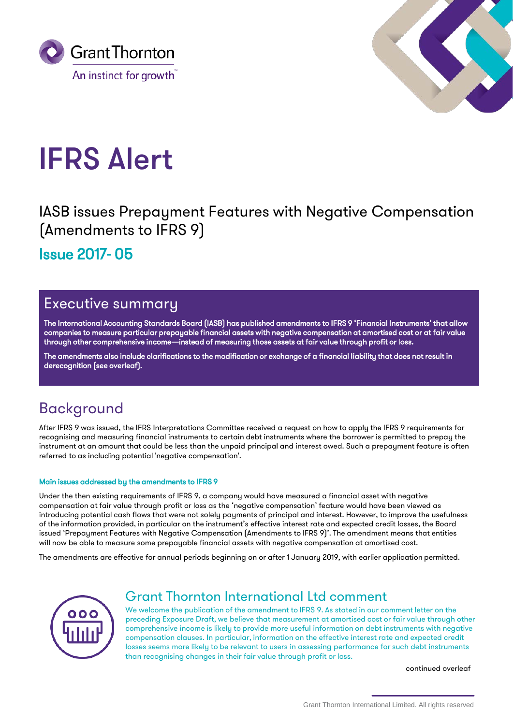



# IFRS Alert

IASB issues Prepayment Features with Negative Compensation (Amendments to IFRS 9)

Issue 2017- 05

## Executive summary

The International Accounting Standards Board (IASB) has published amendments to IFRS 9 'Financial Instruments' that allow companies to measure particular prepayable financial assets with negative compensation at amortised cost or at fair value through other comprehensive income—instead of measuring those assets at fair value through profit or loss.

The amendments also include clarifications to the modification or exchange of a financial liability that does not result in derecognition (see overleaf).

# Background

After IFRS 9 was issued, the IFRS Interpretations Committee received a request on how to apply the IFRS 9 requirements for recognising and measuring financial instruments to certain debt instruments where the borrower is permitted to prepay the instrument at an amount that could be less than the unpaid principal and interest owed. Such a prepayment feature is often referred to as including potential 'negative compensation'.

### Main issues addressed by the amendments to IFRS 9

Under the then existing requirements of IFRS 9, a company would have measured a financial asset with negative compensation at fair value through profit or loss as the 'negative compensation' feature would have been viewed as introducing potential cash flows that were not solely payments of principal and interest. However, to improve the usefulness of the information provided, in particular on the instrument's effective interest rate and expected credit losses, the Board issued 'Prepayment Features with Negative Compensation (Amendments to IFRS 9)'. The amendment means that entities will now be able to measure some prepayable financial assets with negative compensation at amortised cost.

The amendments are effective for annual periods beginning on or after 1 January 2019, with earlier application permitted.



## Grant Thornton International Ltd comment

We welcome the publication of the amendment to IFRS 9. As stated in our comment letter on the preceding Exposure Draft, we believe that measurement at amortised cost or fair value through other comprehensive income is likely to provide more useful information on debt instruments with negative compensation clauses. In particular, information on the effective interest rate and expected credit losses seems more likely to be relevant to users in assessing performance for such debt instruments than recognising changes in their fair value through profit or loss.

continued overleaf